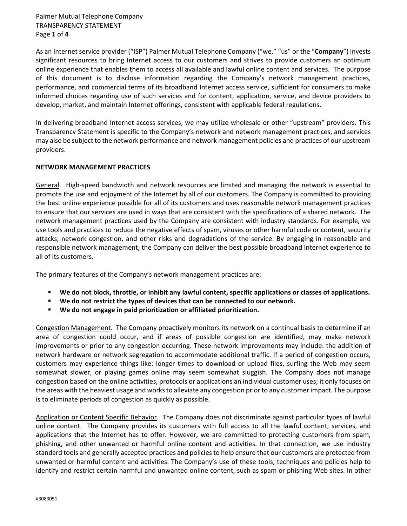Palmer Mutual Telephone Company TRANSPARENCY STATEMENT Page **1** of **4**

As an Internet service provider ("ISP") Palmer Mutual Telephone Company ("we," "us" or the "**Company**") invests significant resources to bring Internet access to our customers and strives to provide customers an optimum online experience that enables them to access all available and lawful online content and services. The purpose of this document is to disclose information regarding the Company's network management practices, performance, and commercial terms of its broadband Internet access service, sufficient for consumers to make informed choices regarding use of such services and for content, application, service, and device providers to develop, market, and maintain Internet offerings, consistent with applicable federal regulations.

In delivering broadband Internet access services, we may utilize wholesale or other "upstream" providers. This Transparency Statement is specific to the Company's network and network management practices, and services may also be subject to the network performance and network management policies and practices of our upstream providers.

## **NETWORK MANAGEMENT PRACTICES**

General. High-speed bandwidth and network resources are limited and managing the network is essential to promote the use and enjoyment of the Internet by all of our customers. The Company is committed to providing the best online experience possible for all of its customers and uses reasonable network management practices to ensure that our services are used in ways that are consistent with the specifications of a shared network. The network management practices used by the Company are consistent with industry standards. For example, we use tools and practices to reduce the negative effects of spam, viruses or other harmful code or content, security attacks, network congestion, and other risks and degradations of the service. By engaging in reasonable and responsible network management, the Company can deliver the best possible broadband Internet experience to all of its customers.

The primary features of the Company's network management practices are:

- **We do not block, throttle, or inhibit any lawful content, specific applications or classes of applications.**
- **We do not restrict the types of devices that can be connected to our network.**
- **We do not engage in paid prioritization or affiliated prioritization.**

Congestion Management. The Company proactively monitors its network on a continual basis to determine if an area of congestion could occur, and if areas of possible congestion are identified, may make network improvements or prior to any congestion occurring. These network improvements may include: the addition of network hardware or network segregation to accommodate additional traffic. If a period of congestion occurs, customers may experience things like: longer times to download or upload files, surfing the Web may seem somewhat slower, or playing games online may seem somewhat sluggish. The Company does not manage congestion based on the online activities, protocols or applications an individual customer uses; it only focuses on the areas with the heaviest usage and works to alleviate any congestion prior to any customer impact. The purpose is to eliminate periods of congestion as quickly as possible.

Application or Content Specific Behavior. The Company does not discriminate against particular types of lawful online content. The Company provides its customers with full access to all the lawful content, services, and applications that the Internet has to offer. However, we are committed to protecting customers from spam, phishing, and other unwanted or harmful online content and activities. In that connection, we use industry standard tools and generally accepted practices and policies to help ensure that our customers are protected from unwanted or harmful content and activities. The Company's use of these tools, techniques and policies help to identify and restrict certain harmful and unwanted online content, such as spam or phishing Web sites. In other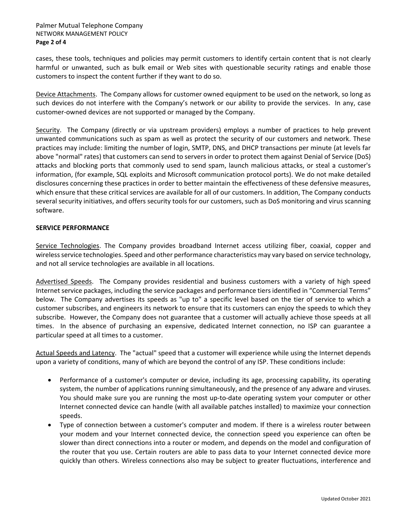cases, these tools, techniques and policies may permit customers to identify certain content that is not clearly harmful or unwanted, such as bulk email or Web sites with questionable security ratings and enable those customers to inspect the content further if they want to do so.

Device Attachments. The Company allows for customer owned equipment to be used on the network, so long as such devices do not interfere with the Company's network or our ability to provide the services. In any, case customer-owned devices are not supported or managed by the Company.

Security. The Company (directly or via upstream providers) employs a number of practices to help prevent unwanted communications such as spam as well as protect the security of our customers and network. These practices may include: limiting the number of login, SMTP, DNS, and DHCP transactions per minute (at levels far above "normal" rates) that customers can send to servers in order to protect them against Denial of Service (DoS) attacks and blocking ports that commonly used to send spam, launch malicious attacks, or steal a customer's information, (for example, SQL exploits and Microsoft communication protocol ports). We do not make detailed disclosures concerning these practices in order to better maintain the effectiveness of these defensive measures, which ensure that these critical services are available for all of our customers. In addition, The Company conducts several security initiatives, and offers security tools for our customers, such as DoS monitoring and virus scanning software.

## **SERVICE PERFORMANCE**

Service Technologies. The Company provides broadband Internet access utilizing fiber, coaxial, copper and wireless service technologies. Speed and other performance characteristics may vary based on service technology, and not all service technologies are available in all locations.

Advertised Speeds. The Company provides residential and business customers with a variety of high speed Internet service packages, including the service packages and performance tiers identified in "Commercial Terms" below. The Company advertises its speeds as "up to" a specific level based on the tier of service to which a customer subscribes, and engineers its network to ensure that its customers can enjoy the speeds to which they subscribe. However, the Company does not guarantee that a customer will actually achieve those speeds at all times. In the absence of purchasing an expensive, dedicated Internet connection, no ISP can guarantee a particular speed at all times to a customer.

Actual Speeds and Latency. The "actual" speed that a customer will experience while using the Internet depends upon a variety of conditions, many of which are beyond the control of any ISP. These conditions include:

- Performance of a customer's computer or device, including its age, processing capability, its operating system, the number of applications running simultaneously, and the presence of any adware and viruses. You should make sure you are running the most up-to-date operating system your computer or other Internet connected device can handle (with all available patches installed) to maximize your connection speeds.
- Type of connection between a customer's computer and modem. If there is a wireless router between your modem and your Internet connected device, the connection speed you experience can often be slower than direct connections into a router or modem, and depends on the model and configuration of the router that you use. Certain routers are able to pass data to your Internet connected device more quickly than others. Wireless connections also may be subject to greater fluctuations, interference and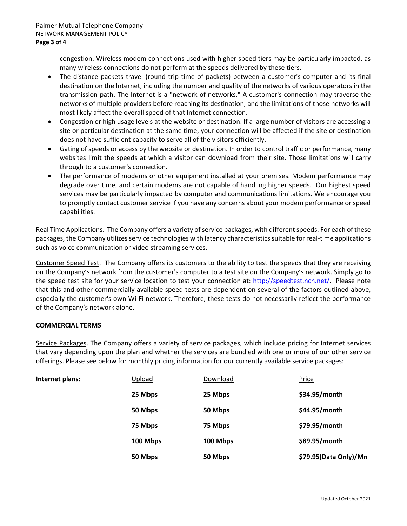congestion. Wireless modem connections used with higher speed tiers may be particularly impacted, as many wireless connections do not perform at the speeds delivered by these tiers.

- The distance packets travel (round trip time of packets) between a customer's computer and its final destination on the Internet, including the number and quality of the networks of various operators in the transmission path. The Internet is a "network of networks." A customer's connection may traverse the networks of multiple providers before reaching its destination, and the limitations of those networks will most likely affect the overall speed of that Internet connection.
- Congestion or high usage levels at the website or destination. If a large number of visitors are accessing a site or particular destination at the same time, your connection will be affected if the site or destination does not have sufficient capacity to serve all of the visitors efficiently.
- Gating of speeds or access by the website or destination. In order to control traffic or performance, many websites limit the speeds at which a visitor can download from their site. Those limitations will carry through to a customer's connection.
- The performance of modems or other equipment installed at your premises. Modem performance may degrade over time, and certain modems are not capable of handling higher speeds. Our highest speed services may be particularly impacted by computer and communications limitations. We encourage you to promptly contact customer service if you have any concerns about your modem performance or speed capabilities.

Real Time Applications. The Company offers a variety of service packages, with different speeds. For each of these packages, the Company utilizes service technologies with latency characteristics suitable for real-time applications such as voice communication or video streaming services.

Customer Speed Test. The Company offers its customers to the ability to test the speeds that they are receiving on the Company's network from the customer's computer to a test site on the Company's network. Simply go to the speed test site for your service location to test your connection at: [http://speedtest.ncn.net/.](http://speedtest.ncn.net/) Please note that this and other commercially available speed tests are dependent on several of the factors outlined above, especially the customer's own Wi-Fi network. Therefore, these tests do not necessarily reflect the performance of the Company's network alone.

## **COMMERCIAL TERMS**

Service Packages. The Company offers a variety of service packages, which include pricing for Internet services that vary depending upon the plan and whether the services are bundled with one or more of our other service offerings. Please see below for monthly pricing information for our currently available service packages:

| Internet plans: | Upload   | Download | <b>Price</b>          |
|-----------------|----------|----------|-----------------------|
|                 | 25 Mbps  | 25 Mbps  | \$34.95/month         |
|                 | 50 Mbps  | 50 Mbps  | \$44.95/month         |
|                 | 75 Mbps  | 75 Mbps  | \$79.95/month         |
|                 | 100 Mbps | 100 Mbps | \$89.95/month         |
|                 | 50 Mbps  | 50 Mbps  | \$79.95(Data Only)/Mn |